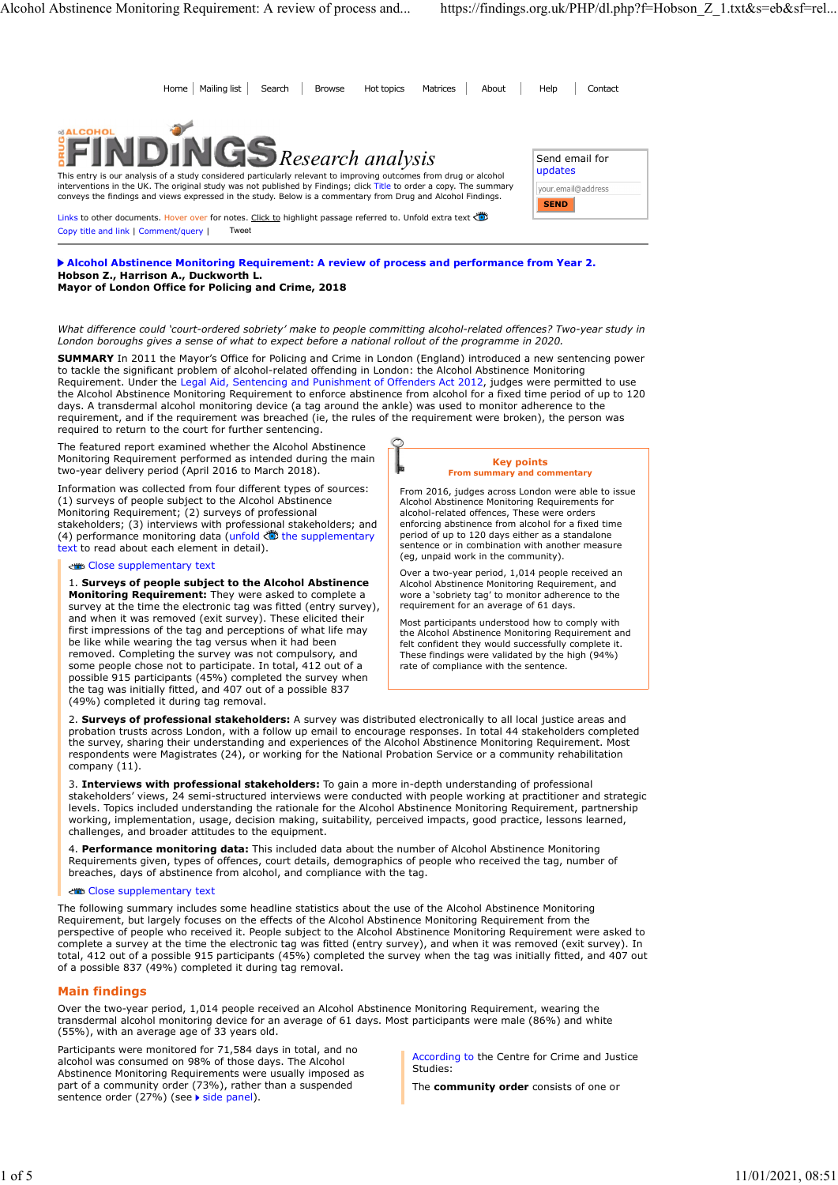| Alcohol Abstinence Monitoring Requirement: A review of process and                                                                                                                                                                                                                                                                                       | https://findings.org.uk/PHP/dl.php?f=Hobson_Z_1.txt&s=eb&sf=rel |
|----------------------------------------------------------------------------------------------------------------------------------------------------------------------------------------------------------------------------------------------------------------------------------------------------------------------------------------------------------|-----------------------------------------------------------------|
|                                                                                                                                                                                                                                                                                                                                                          |                                                                 |
|                                                                                                                                                                                                                                                                                                                                                          |                                                                 |
| Home   Mailing list<br><b>Browse</b><br>Search<br>Hot topics<br>Matrices<br>About                                                                                                                                                                                                                                                                        | Help<br>Contact                                                 |
| <b>&amp;ALCOHOL</b><br>$\mathbf{UGS}_{Research\ analysis}$                                                                                                                                                                                                                                                                                               | Send email for                                                  |
| This entry is our analysis of a study considered particularly relevant to improving outcomes from drug or alcohol<br>interventions in the UK. The original study was not published by Findings; click Title to order a copy. The summary<br>conveys the findings and views expressed in the study. Below is a commentary from Drug and Alcohol Findings. | updates<br>your.email@address                                   |
| Links to other documents. Hover over for notes. Click to highlight passage referred to. Unfold extra text<br>Tweet<br>Copy title and link   Comment/query                                                                                                                                                                                                | <b>SEND</b>                                                     |
|                                                                                                                                                                                                                                                                                                                                                          |                                                                 |

Alcohol Abstinence Monitoring Requirement: A review of process and performance from Year 2. Hobson Z., Harrison A., Duckworth L. Mayor of London Office for Policing and Crime, 2018

What difference could 'court-ordered sobriety' make to people committing alcohol-related offences? Two-year study in London boroughs gives a sense of what to expect before a national rollout of the programme in 2020.

SUMMARY In 2011 the Mayor's Office for Policing and Crime in London (England) introduced a new sentencing power to tackle the significant problem of alcohol-related offending in London: the Alcohol Abstinence Monitoring Requirement. Under the Legal Aid, Sentencing and Punishment of Offenders Act 2012, judges were permitted to use the Alcohol Abstinence Monitoring Requirement to enforce abstinence from alcohol for a fixed time period of up to 120 days. A transdermal alcohol monitoring device (a tag around the ankle) was used to monitor adherence to the requirement, and if the requirement was breached (ie, the rules of the requirement were broken), the person was required to return to the court for further sentencing.

The featured report examined whether the Alcohol Abstinence Monitoring Requirement performed as intended during the main two-year delivery period (April 2016 to March 2018).

Information was collected from four different types of sources: (1) surveys of people subject to the Alcohol Abstinence Monitoring Requirement; (2) surveys of professional stakeholders; (3) interviews with professional stakeholders; and (4) performance monitoring data (unfold  $\bullet$  the supplementary text to read about each element in detail).

### Close supplementary text

1. Surveys of people subject to the Alcohol Abstinence Monitoring Requirement: They were asked to complete a survey at the time the electronic tag was fitted (entry survey), and when it was removed (exit survey). These elicited their first impressions of the tag and perceptions of what life may be like while wearing the tag versus when it had been removed. Completing the survey was not compulsory, and some people chose not to participate. In total, 412 out of a possible 915 participants (45%) completed the survey when the tag was initially fitted, and 407 out of a possible 837 (49%) completed it during tag removal.

#### Key points From summary and commentary

From 2016, judges across London were able to issue Alcohol Abstinence Monitoring Requirements for alcohol-related offences, These were orders enforcing abstinence from alcohol for a fixed time period of up to 120 days either as a standalone sentence or in combination with another measure (eg, unpaid work in the community).

Over a two-year period, 1,014 people received an Alcohol Abstinence Monitoring Requirement, and wore a 'sobriety tag' to monitor adherence to the requirement for an average of 61 days.

Most participants understood how to comply with the Alcohol Abstinence Monitoring Requirement and felt confident they would successfully complete it. These findings were validated by the high (94%) rate of compliance with the sentence.

2. Surveys of professional stakeholders: A survey was distributed electronically to all local justice areas and probation trusts across London, with a follow up email to encourage responses. In total 44 stakeholders completed the survey, sharing their understanding and experiences of the Alcohol Abstinence Monitoring Requirement. Most respondents were Magistrates (24), or working for the National Probation Service or a community rehabilitation company (11)

3. Interviews with professional stakeholders: To gain a more in-depth understanding of professional stakeholders' views, 24 semi-structured interviews were conducted with people working at practitioner and strategic levels. Topics included understanding the rationale for the Alcohol Abstinence Monitoring Requirement, partnership working, implementation, usage, decision making, suitability, perceived impacts, good practice, lessons learned, challenges, and broader attitudes to the equipment.

4. Performance monitoring data: This included data about the number of Alcohol Abstinence Monitoring Requirements given, types of offences, court details, demographics of people who received the tag, number of breaches, days of abstinence from alcohol, and compliance with the tag.

Close supplementary text

The following summary includes some headline statistics about the use of the Alcohol Abstinence Monitoring Requirement, but largely focuses on the effects of the Alcohol Abstinence Monitoring Requirement from the perspective of people who received it. People subject to the Alcohol Abstinence Monitoring Requirement were asked to complete a survey at the time the electronic tag was fitted (entry survey), and when it was removed (exit survey). In total, 412 out of a possible 915 participants (45%) completed the survey when the tag was initially fitted, and 407 out of a possible 837 (49%) completed it during tag removal.

# Main findings

Over the two-year period, 1,014 people received an Alcohol Abstinence Monitoring Requirement, wearing the transdermal alcohol monitoring device for an average of 61 days. Most participants were male (86%) and white (55%), with an average age of 33 years old.

Participants were monitored for 71,584 days in total, and no alcohol was consumed on 98% of those days. The Alcohol Abstinence Monitoring Requirements were usually imposed as part of a community order (73%), rather than a suspended sentence order (27%) (see > side panel).

According to the Centre for Crime and Justice Studies:

The community order consists of one or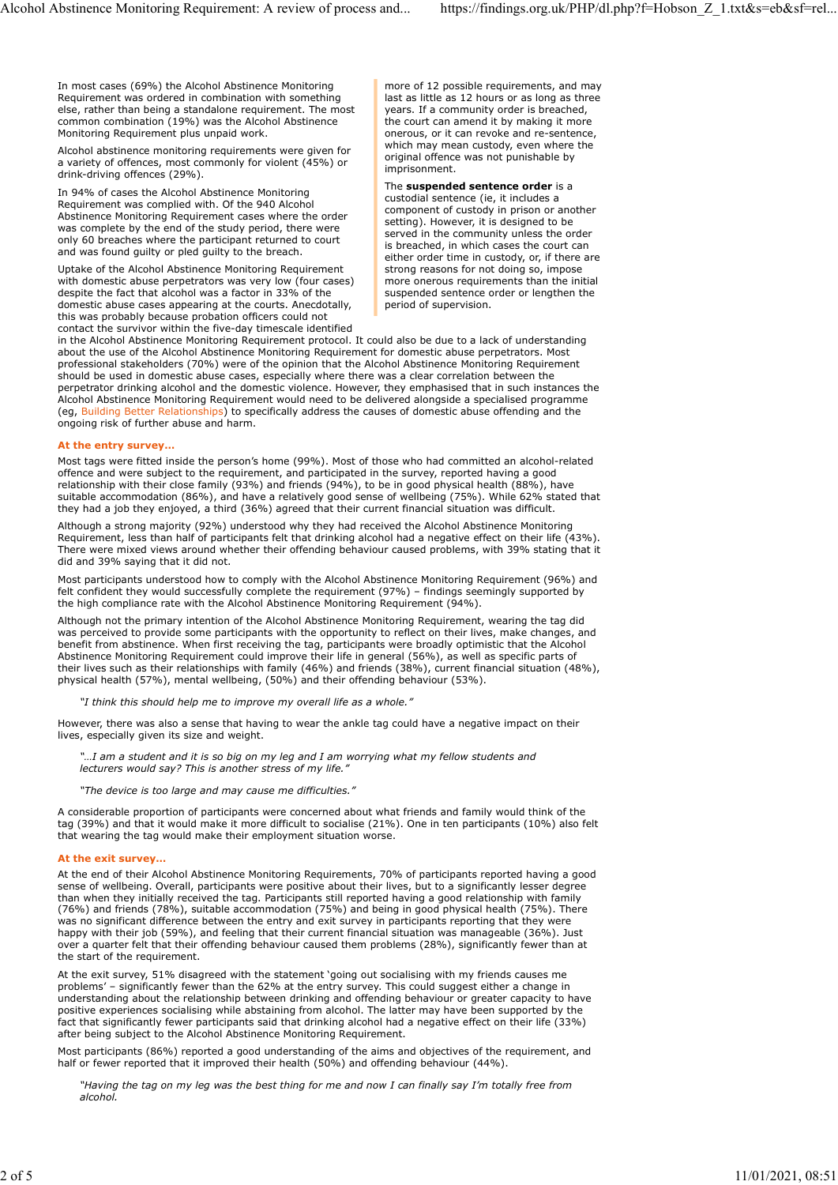In most cases (69%) the Alcohol Abstinence Monitoring Requirement was ordered in combination with something else, rather than being a standalone requirement. The most common combination (19%) was the Alcohol Abstinence Monitoring Requirement plus unpaid work. Alcohol Abstinence Monitoring Requirement: A review of process and... https://findings.org.uk/PHP/dl.php?f=Hobson\_Z\_1.txt&s=eb&sf=rel...<br>In most cases (69%) the Alcohol Abstinence Monitoring more of 12 possible requirement

Alcohol abstinence monitoring requirements were given for a variety of offences, most commonly for violent (45%) or **representations** in the part of part of the state of the drink-driving offences (29%).

In 94% of cases the Alcohol Abstinence Monitoring Requirement was complied with. Of the 940 Alcohol Abstinence Monitoring Requirement cases where the order was complete by the end of the study period, there were only 60 breaches where the participant returned to court and was found guilty or pled guilty to the breach.

Uptake of the Alcohol Abstinence Monitoring Requirement with domestic abuse perpetrators was very low (four cases) despite the fact that alcohol was a factor in 33% of the domestic abuse cases appearing at the courts. Anecdotally, this was probably because probation officers could not contact the survivor within the five-day timescale identified more of 12 possible requirements, and may last as little as 12 hours or as long as three years. If a community order is breached, the court can amend it by making it more onerous, or it can revoke and re-sentence, which may mean custody, even where the original offence was not punishable by imprisonment.

### The suspended sentence order is a

custodial sentence (ie, it includes a component of custody in prison or another setting). However, it is designed to be served in the community unless the order is breached, in which cases the court can either order time in custody, or, if there are strong reasons for not doing so, impose more onerous requirements than the initial suspended sentence order or lengthen the period of supervision.

in the Alcohol Abstinence Monitoring Requirement protocol. It could also be due to a lack of understanding about the use of the Alcohol Abstinence Monitoring Requirement for domestic abuse perpetrators. Most professional stakeholders (70%) were of the opinion that the Alcohol Abstinence Monitoring Requirement should be used in domestic abuse cases, especially where there was a clear correlation between the perpetrator drinking alcohol and the domestic violence. However, they emphasised that in such instances the Alcohol Abstinence Monitoring Requirement would need to be delivered alongside a specialised programme (eg, Building Better Relationships) to specifically address the causes of domestic abuse offending and the ongoing risk of further abuse and harm.

#### At the entry survey…

Most tags were fitted inside the person's home (99%). Most of those who had committed an alcohol-related offence and were subject to the requirement, and participated in the survey, reported having a good relationship with their close family (93%) and friends (94%), to be in good physical health (88%), have suitable accommodation (86%), and have a relatively good sense of wellbeing (75%). While 62% stated that they had a job they enjoyed, a third (36%) agreed that their current financial situation was difficult.

Although a strong majority (92%) understood why they had received the Alcohol Abstinence Monitoring Requirement, less than half of participants felt that drinking alcohol had a negative effect on their life (43%). There were mixed views around whether their offending behaviour caused problems, with 39% stating that it did and 39% saying that it did not.

Most participants understood how to comply with the Alcohol Abstinence Monitoring Requirement (96%) and felt confident they would successfully complete the requirement (97%) – findings seemingly supported by the high compliance rate with the Alcohol Abstinence Monitoring Requirement (94%).

Although not the primary intention of the Alcohol Abstinence Monitoring Requirement, wearing the tag did was perceived to provide some participants with the opportunity to reflect on their lives, make changes, and benefit from abstinence. When first receiving the tag, participants were broadly optimistic that the Alcohol Abstinence Monitoring Requirement could improve their life in general (56%), as well as specific parts of their lives such as their relationships with family (46%) and friends (38%), current financial situation (48%), physical health (57%), mental wellbeing, (50%) and their offending behaviour (53%).

"I think this should help me to improve my overall life as a whole."

However, there was also a sense that having to wear the ankle tag could have a negative impact on their lives, especially given its size and weight.

..I am a student and it is so big on my leg and I am worrying what my fellow students and lecturers would say? This is another stress of my life."

## "The device is too large and may cause me difficulties."

A considerable proportion of participants were concerned about what friends and family would think of the tag (39%) and that it would make it more difficult to socialise (21%). One in ten participants (10%) also felt that wearing the tag would make their employment situation worse.

## At the exit survey…

At the end of their Alcohol Abstinence Monitoring Requirements, 70% of participants reported having a good sense of wellbeing. Overall, participants were positive about their lives, but to a significantly lesser degree than when they initially received the tag. Participants still reported having a good relationship with family (76%) and friends (78%), suitable accommodation (75%) and being in good physical health (75%). There was no significant difference between the entry and exit survey in participants reporting that they were happy with their job (59%), and feeling that their current financial situation was manageable (36%). Just over a quarter felt that their offending behaviour caused them problems (28%), significantly fewer than at the start of the requirement.

At the exit survey, 51% disagreed with the statement 'going out socialising with my friends causes me problems' – significantly fewer than the 62% at the entry survey. This could suggest either a change in understanding about the relationship between drinking and offending behaviour or greater capacity to have positive experiences socialising while abstaining from alcohol. The latter may have been supported by the fact that significantly fewer participants said that drinking alcohol had a negative effect on their life (33%) after being subject to the Alcohol Abstinence Monitoring Requirement.

Most participants (86%) reported a good understanding of the aims and objectives of the requirement, and half or fewer reported that it improved their health (50%) and offending behaviour (44%).

"Having the tag on my leg was the best thing for me and now I can finally say I'm totally free from alcohol.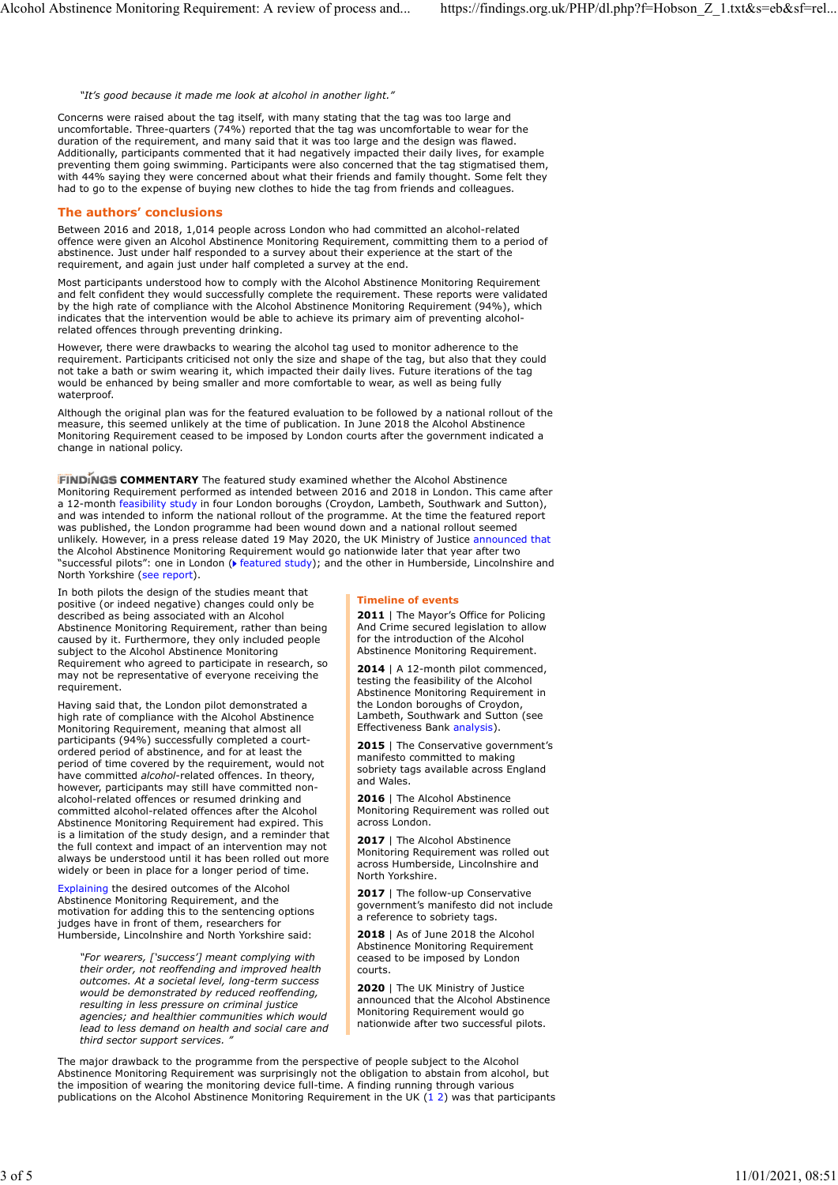"It's good because it made me look at alcohol in another light."

Concerns were raised about the tag itself, with many stating that the tag was too large and uncomfortable. Three-quarters (74%) reported that the tag was uncomfortable to wear for the duration of the requirement, and many said that it was too large and the design was flawed. Additionally, participants commented that it had negatively impacted their daily lives, for example preventing them going swimming. Participants were also concerned that the tag stigmatised them, with 44% saying they were concerned about what their friends and family thought. Some felt they had to go to the expense of buying new clothes to hide the tag from friends and colleagues.

## The authors' conclusions

Between 2016 and 2018, 1,014 people across London who had committed an alcohol-related offence were given an Alcohol Abstinence Monitoring Requirement, committing them to a period of abstinence. Just under half responded to a survey about their experience at the start of the requirement, and again just under half completed a survey at the end.

Most participants understood how to comply with the Alcohol Abstinence Monitoring Requirement and felt confident they would successfully complete the requirement. These reports were validated by the high rate of compliance with the Alcohol Abstinence Monitoring Requirement (94%), which indicates that the intervention would be able to achieve its primary aim of preventing alcoholrelated offences through preventing drinking.

However, there were drawbacks to wearing the alcohol tag used to monitor adherence to the requirement. Participants criticised not only the size and shape of the tag, but also that they could not take a bath or swim wearing it, which impacted their daily lives. Future iterations of the tag would be enhanced by being smaller and more comfortable to wear, as well as being fully waterproof.

Although the original plan was for the featured evaluation to be followed by a national rollout of the measure, this seemed unlikely at the time of publication. In June 2018 the Alcohol Abstinence Monitoring Requirement ceased to be imposed by London courts after the government indicated a change in national policy.

FINDINGS COMMENTARY The featured study examined whether the Alcohol Abstinence Monitoring Requirement performed as intended between 2016 and 2018 in London. This came after a 12-month feasibility study in four London boroughs (Croydon, Lambeth, Southwark and Sutton), and was intended to inform the national rollout of the programme. At the time the featured report was published, the London programme had been wound down and a national rollout seemed unlikely. However, in a press release dated 19 May 2020, the UK Ministry of Justice announced that the Alcohol Abstinence Monitoring Requirement would go nationwide later that year after two "successful pilots": one in London ( $\blacktriangleright$  featured study); and the other in Humberside, Lincolnshire and North Yorkshire (see report).

In both pilots the design of the studies meant that positive (or indeed negative) changes could only be described as being associated with an Alcohol Abstinence Monitoring Requirement, rather than being caused by it. Furthermore, they only included people subject to the Alcohol Abstinence Monitoring Requirement who agreed to participate in research, so may not be representative of everyone receiving the requirement.

Having said that, the London pilot demonstrated a high rate of compliance with the Alcohol Abstinence Monitoring Requirement, meaning that almost all participants (94%) successfully completed a courtordered period of abstinence, and for at least the period of time covered by the requirement, would not have committed alcohol-related offences. In theory, however, participants may still have committed nonalcohol-related offences or resumed drinking and committed alcohol-related offences after the Alcohol Abstinence Monitoring Requirement had expired. This is a limitation of the study design, and a reminder that the full context and impact of an intervention may not always be understood until it has been rolled out more widely or been in place for a longer period of time. Montron Requirement in mean of the Alcohol Abstinence Monitoring Requirement in the Alcohol Abstinence Monitoring Abstract and the Alcohol Abstinence Monitoring Requirement in the UK (1 2) was that the UK (1 2) was the UK

Explaining the desired outcomes of the Alcohol Abstinence Monitoring Requirement, and the motivation for adding this to the sentencing options judges have in front of them, researchers for Humberside, Lincolnshire and North Yorkshire said:

"For wearers, ['success'] meant complying with their order, not reoffending and improved health outcomes. At a societal level, long-term success would be demonstrated by reduced reoffending, resulting in less pressure on criminal justice agencies; and healthier communities which would lead to less demand on health and social care and the liquiditivide area two succession photo. third sector support services. "

#### Timeline of events

2011 | The Mayor's Office for Policing And Crime secured legislation to allow for the introduction of the Alcohol Abstinence Monitoring Requirement.

2014 | A 12-month pilot commenced, testing the feasibility of the Alcohol Abstinence Monitoring Requirement in the London boroughs of Croydon, Lambeth, Southwark and Sutton (see Effectiveness Bank analysis).

2015 | The Conservative government's manifesto committed to making sobriety tags available across England and Wales.

2016 | The Alcohol Abstinence Monitoring Requirement was rolled out across London.

2017 | The Alcohol Abstinence Monitoring Requirement was rolled out across Humberside, Lincolnshire and North Yorkshire.

2017 | The follow-up Conservative government's manifesto did not include a reference to sobriety tags.

2018 | As of June 2018 the Alcohol Abstinence Monitoring Requirement ceased to be imposed by London courts.

2020 | The UK Ministry of Justice announced that the Alcohol Abstinence Monitoring Requirement would go nationwide after two successful pilots.

The major drawback to the programme from the perspective of people subject to the Alcohol Abstinence Monitoring Requirement was surprisingly not the obligation to abstain from alcohol, but the imposition of wearing the monitoring device full-time. A finding running through various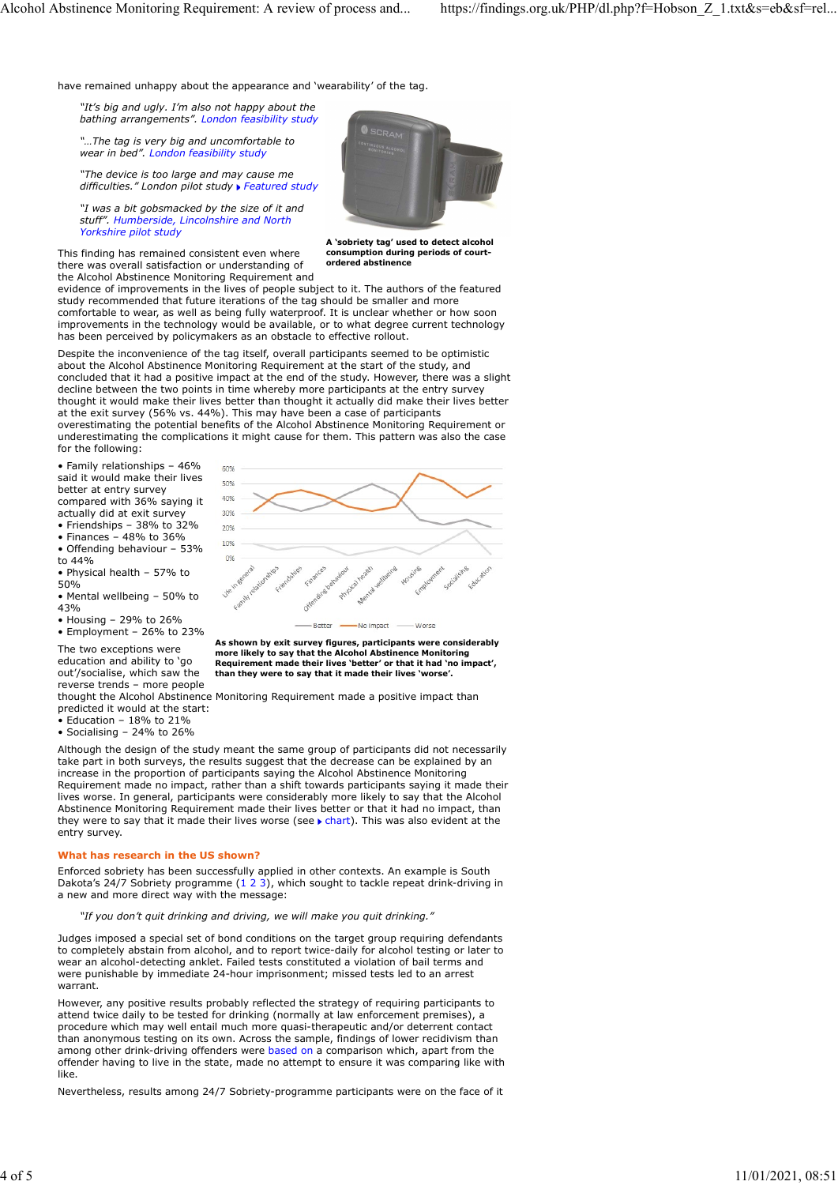have remained unhappy about the appearance and 'wearability' of the tag.

"It's big and ugly. I'm also not happy about the bathing arrangements". London feasibility study

"…The tag is very big and uncomfortable to wear in bed". London feasibility study

"The device is too large and may cause me difficulties." London pilot study Featured study

"I was a bit gobsmacked by the size of it and stuff". Humberside, Lincolnshire and North Yorkshire pilot study

This finding has remained consistent even where there was overall satisfaction or understanding of the Alcohol Abstinence Monitoring Requirement and



A 'sobriety tag' used to detect alcohol consumption during periods of courtordered abstinence

evidence of improvements in the lives of people subject to it. The authors of the featured study recommended that future iterations of the tag should be smaller and more comfortable to wear, as well as being fully waterproof. It is unclear whether or how soon improvements in the technology would be available, or to what degree current technology has been perceived by policymakers as an obstacle to effective rollout.

Despite the inconvenience of the tag itself, overall participants seemed to be optimistic about the Alcohol Abstinence Monitoring Requirement at the start of the study, and concluded that it had a positive impact at the end of the study. However, there was a slight decline between the two points in time whereby more participants at the entry survey thought it would make their lives better than thought it actually did make their lives better at the exit survey (56% vs. 44%). This may have been a case of participants overestimating the potential benefits of the Alcohol Abstinence Monitoring Requirement or underestimating the complications it might cause for them. This pattern was also the case for the following:

• Family relationships –  $46\%$ said it would make their lives better at entry survey  $\frac{500}{400}$ compared with  $36\%$  saying it  $\frac{40\%}{36\%}$  actually did at exit survey  $\frac{30\%}{30\%}$ 

- actually did at exit survey • Friendships – 38% to  $32\%$  20%
- 
- Finances 48% to 36% • Offending behaviour – 53%  $10\%$ <br>to 44%
- 
- Physical health 57% to • Mental wellbeing – 50% to
- 
- 
- Employment 26% to 23%

The two exceptions were more likely to say that the Alcohol Abstinence Monitoring education and ability to 'go **Requirement made their lives 'better' or that it had 'no impact'**, out'/socialise, which saw the than they were to say that it made their lives 'worse'. out'/socialise, which saw the<br>reverse trends - more people

thought the Alcohol Abstinence Monitoring Requirement made a positive impact than predicted it would at the start:

- Education 18% to 21%
- Socialising 24% to 26%

Although the design of the study meant the same group of participants did not necessarily take part in both surveys, the results suggest that the decrease can be explained by an increase in the proportion of participants saying the Alcohol Abstinence Monitoring Requirement made no impact, rather than a shift towards participants saying it made their lives worse. In general, participants were considerably more likely to say that the Alcohol Abstinence Monitoring Requirement made their lives better or that it had no impact, than they were to say that it made their lives worse (see  $\blacktriangleright$  chart). This was also evident at the entry survey. actuality did recist survives 26% to 25% and 26% and 26% and 26% and 26% and 26% and 26% and 26% to 25% and 26% to 25% by 26% and 26% and 26% and 26% and 26% and 26% and 26% and 26% and 26% and 26% and 26% and 26% and 26%

# What has research in the US shown?

Enforced sobriety has been successfully applied in other contexts. An example is South a new and more direct way with the message:

"If you don't quit drinking and driving, we will make you quit drinking."

Judges imposed a special set of bond conditions on the target group requiring defendants to completely abstain from alcohol, and to report twice-daily for alcohol testing or later to wear an alcohol-detecting anklet. Failed tests constituted a violation of bail terms and were punishable by immediate 24-hour imprisonment; missed tests led to an arrest warrant.

However, any positive results probably reflected the strategy of requiring participants to attend twice daily to be tested for drinking (normally at law enforcement premises), a procedure which may well entail much more quasi-therapeutic and/or deterrent contact than anonymous testing on its own. Across the sample, findings of lower recidivism than among other drink-driving offenders were based on a comparison which, apart from the offender having to live in the state, made no attempt to ensure it was comparing like with like.

Nevertheless, results among 24/7 Sobriety-programme participants were on the face of it



As shown by exit survey figures, participants were considerably